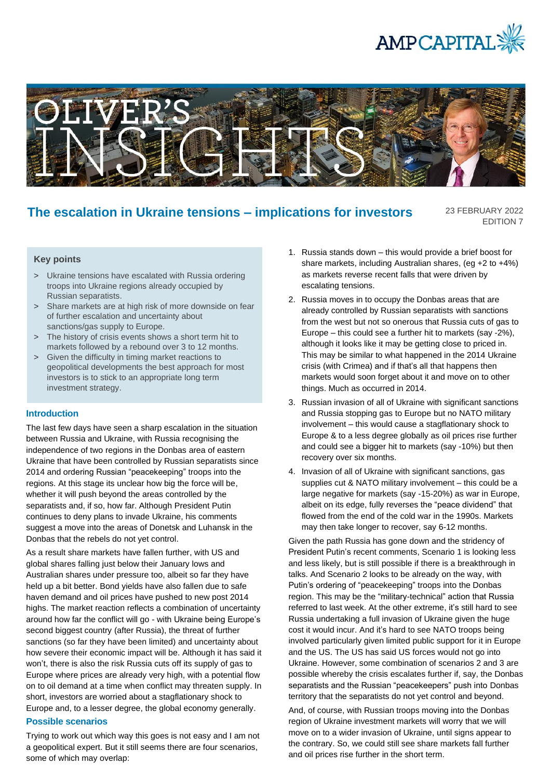



# **The escalation in Ukraine tensions – implications for investors**

23 FEBRUARY 2022 EDITION 7

# **Key points**

- > Ukraine tensions have escalated with Russia ordering troops into Ukraine regions already occupied by Russian separatists.
- > Share markets are at high risk of more downside on fear of further escalation and uncertainty about sanctions/gas supply to Europe.
- > The history of crisis events shows a short term hit to markets followed by a rebound over 3 to 12 months.
- > Given the difficulty in timing market reactions to geopolitical developments the best approach for most investors is to stick to an appropriate long term investment strategy.

### **Introduction**

The last few days have seen a sharp escalation in the situation between Russia and Ukraine, with Russia recognising the independence of two regions in the Donbas area of eastern Ukraine that have been controlled by Russian separatists since 2014 and ordering Russian "peacekeeping" troops into the regions. At this stage its unclear how big the force will be, whether it will push beyond the areas controlled by the separatists and, if so, how far. Although President Putin continues to deny plans to invade Ukraine, his comments suggest a move into the areas of Donetsk and Luhansk in the Donbas that the rebels do not yet control.

As a result share markets have fallen further, with US and global shares falling just below their January lows and Australian shares under pressure too, albeit so far they have held up a bit better. Bond yields have also fallen due to safe haven demand and oil prices have pushed to new post 2014 highs. The market reaction reflects a combination of uncertainty around how far the conflict will go - with Ukraine being Europe's second biggest country (after Russia), the threat of further sanctions (so far they have been limited) and uncertainty about how severe their economic impact will be. Although it has said it won't, there is also the risk Russia cuts off its supply of gas to Europe where prices are already very high, with a potential flow on to oil demand at a time when conflict may threaten supply. In short, investors are worried about a stagflationary shock to Europe and, to a lesser degree, the global economy generally.

#### **Possible scenarios**

Trying to work out which way this goes is not easy and I am not a geopolitical expert. But it still seems there are four scenarios, some of which may overlap:

- 1. Russia stands down this would provide a brief boost for share markets, including Australian shares, (eg +2 to +4%) as markets reverse recent falls that were driven by escalating tensions.
- 2. Russia moves in to occupy the Donbas areas that are already controlled by Russian separatists with sanctions from the west but not so onerous that Russia cuts of gas to Europe – this could see a further hit to markets (say -2%), although it looks like it may be getting close to priced in. This may be similar to what happened in the 2014 Ukraine crisis (with Crimea) and if that's all that happens then markets would soon forget about it and move on to other things. Much as occurred in 2014.
- 3. Russian invasion of all of Ukraine with significant sanctions and Russia stopping gas to Europe but no NATO military involvement – this would cause a stagflationary shock to Europe & to a less degree globally as oil prices rise further and could see a bigger hit to markets (say -10%) but then recovery over six months.
- 4. Invasion of all of Ukraine with significant sanctions, gas supplies cut & NATO military involvement – this could be a large negative for markets (say -15-20%) as war in Europe, albeit on its edge, fully reverses the "peace dividend" that flowed from the end of the cold war in the 1990s. Markets may then take longer to recover, say 6-12 months.

Given the path Russia has gone down and the stridency of President Putin's recent comments, Scenario 1 is looking less and less likely, but is still possible if there is a breakthrough in talks. And Scenario 2 looks to be already on the way, with Putin's ordering of "peacekeeping" troops into the Donbas region. This may be the "military-technical" action that Russia referred to last week. At the other extreme, it's still hard to see Russia undertaking a full invasion of Ukraine given the huge cost it would incur. And it's hard to see NATO troops being involved particularly given limited public support for it in Europe and the US. The US has said US forces would not go into Ukraine. However, some combination of scenarios 2 and 3 are possible whereby the crisis escalates further if, say, the Donbas separatists and the Russian "peacekeepers" push into Donbas territory that the separatists do not yet control and beyond.

And, of course, with Russian troops moving into the Donbas region of Ukraine investment markets will worry that we will move on to a wider invasion of Ukraine, until signs appear to the contrary. So, we could still see share markets fall further and oil prices rise further in the short term.